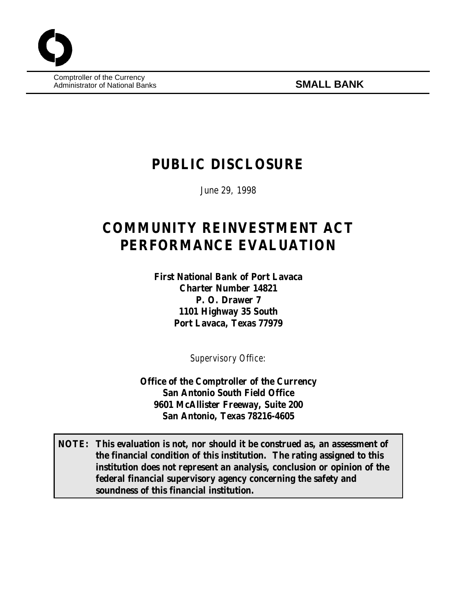Comptroller of the Currency Administrator of National Banks **SMALL BANK**

## **PUBLIC DISCLOSURE**

June 29, 1998

# **COMMUNITY REINVESTMENT ACT PERFORMANCE EVALUATION**

**First National Bank of Port Lavaca Charter Number 14821 P. O. Drawer 7 1101 Highway 35 South Port Lavaca, Texas 77979**

*Supervisory Office*:

**Office of the Comptroller of the Currency San Antonio South Field Office 9601 McAllister Freeway, Suite 200 San Antonio, Texas 78216-4605**

**NOTE: This evaluation is not, nor should it be construed as, an assessment of the financial condition of this institution. The rating assigned to this institution does not represent an analysis, conclusion or opinion of the federal financial supervisory agency concerning the safety and soundness of this financial institution.**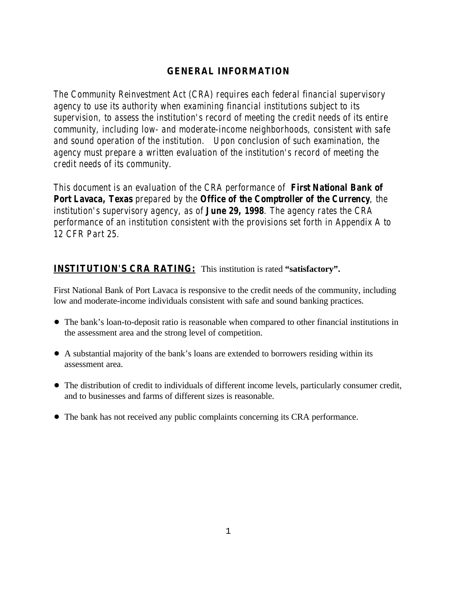### **GENERAL INFORMATION**

*The Community Reinvestment Act (CRA) requires each federal financial supervisory agency to use its authority when examining financial institutions subject to its supervision, to assess the institution's record of meeting the credit needs of its entire community, including low- and moderate-income neighborhoods, consistent with safe and sound operation of the institution. Upon conclusion of such examination, the agency must prepare a written evaluation of the institution's record of meeting the credit needs of its community.* 

*This document is an evaluation of the CRA performance of First National Bank of Port Lavaca, Texas prepared by the Office of the Comptroller of the Currency, the institution's supervisory agency, as of June 29, 1998. The agency rates the CRA performance of an institution consistent with the provisions set forth in Appendix A to 12 CFR Part 25.*

## **INSTITUTION'S CRA RATING:** This institution is rated **"satisfactory".**

First National Bank of Port Lavaca is responsive to the credit needs of the community, including low and moderate-income individuals consistent with safe and sound banking practices.

- The bank's loan-to-deposit ratio is reasonable when compared to other financial institutions in the assessment area and the strong level of competition.
- ! A substantial majority of the bank's loans are extended to borrowers residing within its assessment area.
- ! The distribution of credit to individuals of different income levels, particularly consumer credit, and to businesses and farms of different sizes is reasonable.
- ! The bank has not received any public complaints concerning its CRA performance.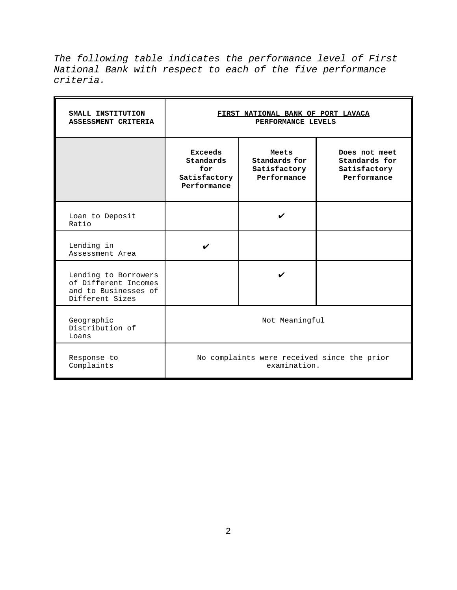*The following table indicates the performance level of First National Bank with respect to each of the five performance criteria.*

| SMALL INSTITUTION<br>ASSESSMENT CRITERIA                                                | FIRST NATIONAL BANK OF PORT LAVACA<br>PERFORMANCE LEVELS          |                                                       |                                                               |  |  |  |  |
|-----------------------------------------------------------------------------------------|-------------------------------------------------------------------|-------------------------------------------------------|---------------------------------------------------------------|--|--|--|--|
|                                                                                         | <b>Exceeds</b><br>Standards<br>for<br>Satisfactory<br>Performance | Meets<br>Standards for<br>Satisfactory<br>Performance | Does not meet<br>Standards for<br>Satisfactory<br>Performance |  |  |  |  |
| Loan to Deposit<br>Ratio                                                                |                                                                   |                                                       |                                                               |  |  |  |  |
| Lending in<br>Assessment Area                                                           |                                                                   |                                                       |                                                               |  |  |  |  |
| Lending to Borrowers<br>of Different Incomes<br>and to Businesses of<br>Different Sizes |                                                                   |                                                       |                                                               |  |  |  |  |
| Geographic<br>Distribution of<br>Loans                                                  | Not Meaningful                                                    |                                                       |                                                               |  |  |  |  |
| Response to<br>Complaints                                                               | No complaints were received since the prior<br>examination.       |                                                       |                                                               |  |  |  |  |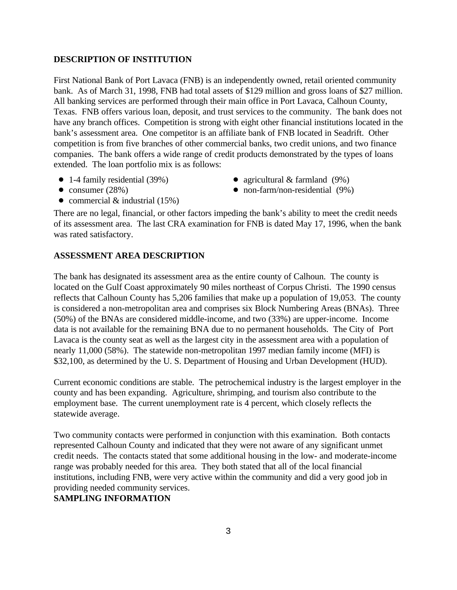#### **DESCRIPTION OF INSTITUTION**

First National Bank of Port Lavaca (FNB) is an independently owned, retail oriented community bank. As of March 31, 1998, FNB had total assets of \$129 million and gross loans of \$27 million. All banking services are performed through their main office in Port Lavaca, Calhoun County, Texas. FNB offers various loan, deposit, and trust services to the community. The bank does not have any branch offices. Competition is strong with eight other financial institutions located in the bank's assessment area. One competitor is an affiliate bank of FNB located in Seadrift. Other competition is from five branches of other commercial banks, two credit unions, and two finance companies. The bank offers a wide range of credit products demonstrated by the types of loans extended. The loan portfolio mix is as follows:

- 
- 1-4 family residential (39%) agricultural & farmland (9%)
- ! consumer (28%) ! non-farm/non-residential (9%)
- 
- commercial  $&$  industrial (15%)

There are no legal, financial, or other factors impeding the bank's ability to meet the credit needs of its assessment area. The last CRA examination for FNB is dated May 17, 1996, when the bank was rated satisfactory.

#### **ASSESSMENT AREA DESCRIPTION**

The bank has designated its assessment area as the entire county of Calhoun. The county is located on the Gulf Coast approximately 90 miles northeast of Corpus Christi. The 1990 census reflects that Calhoun County has 5,206 families that make up a population of 19,053. The county is considered a non-metropolitan area and comprises six Block Numbering Areas (BNAs). Three (50%) of the BNAs are considered middle-income, and two (33%) are upper-income. Income data is not available for the remaining BNA due to no permanent households. The City of Port Lavaca is the county seat as well as the largest city in the assessment area with a population of nearly 11,000 (58%). The statewide non-metropolitan 1997 median family income (MFI) is \$32,100, as determined by the U. S. Department of Housing and Urban Development (HUD).

Current economic conditions are stable. The petrochemical industry is the largest employer in the county and has been expanding. Agriculture, shrimping, and tourism also contribute to the employment base. The current unemployment rate is 4 percent, which closely reflects the statewide average.

Two community contacts were performed in conjunction with this examination. Both contacts represented Calhoun County and indicated that they were not aware of any significant unmet credit needs. The contacts stated that some additional housing in the low- and moderate-income range was probably needed for this area. They both stated that all of the local financial institutions, including FNB, were very active within the community and did a very good job in providing needed community services.

#### **SAMPLING INFORMATION**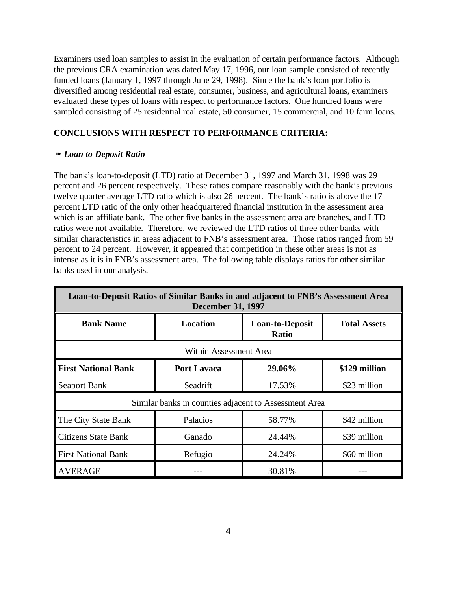Examiners used loan samples to assist in the evaluation of certain performance factors. Although the previous CRA examination was dated May 17, 1996, our loan sample consisted of recently funded loans (January 1, 1997 through June 29, 1998). Since the bank's loan portfolio is diversified among residential real estate, consumer, business, and agricultural loans, examiners evaluated these types of loans with respect to performance factors. One hundred loans were sampled consisting of 25 residential real estate, 50 consumer, 15 commercial, and 10 farm loans.

#### **CONCLUSIONS WITH RESPECT TO PERFORMANCE CRITERIA:**

#### **<sup><b>\*\*\*\*\*** *Loan to Deposit Ratio*</sup>

The bank's loan-to-deposit (LTD) ratio at December 31, 1997 and March 31, 1998 was 29 percent and 26 percent respectively. These ratios compare reasonably with the bank's previous twelve quarter average LTD ratio which is also 26 percent. The bank's ratio is above the 17 percent LTD ratio of the only other headquartered financial institution in the assessment area which is an affiliate bank. The other five banks in the assessment area are branches, and LTD ratios were not available. Therefore, we reviewed the LTD ratios of three other banks with similar characteristics in areas adjacent to FNB's assessment area. Those ratios ranged from 59 percent to 24 percent. However, it appeared that competition in these other areas is not as intense as it is in FNB's assessment area. The following table displays ratios for other similar banks used in our analysis.

| Loan-to-Deposit Ratios of Similar Banks in and adjacent to FNB's Assessment Area<br><b>December 31, 1997</b> |                    |                                        |                     |  |  |  |  |  |  |  |
|--------------------------------------------------------------------------------------------------------------|--------------------|----------------------------------------|---------------------|--|--|--|--|--|--|--|
| <b>Bank Name</b>                                                                                             | <b>Location</b>    | <b>Loan-to-Deposit</b><br><b>Ratio</b> | <b>Total Assets</b> |  |  |  |  |  |  |  |
| Within Assessment Area                                                                                       |                    |                                        |                     |  |  |  |  |  |  |  |
| <b>First National Bank</b>                                                                                   | <b>Port Lavaca</b> | 29.06%                                 | \$129 million       |  |  |  |  |  |  |  |
| <b>Seaport Bank</b>                                                                                          | Seadrift           | 17.53%                                 | \$23 million        |  |  |  |  |  |  |  |
| Similar banks in counties adjacent to Assessment Area                                                        |                    |                                        |                     |  |  |  |  |  |  |  |
| The City State Bank                                                                                          | Palacios           | 58.77%                                 | \$42 million        |  |  |  |  |  |  |  |
| <b>Citizens State Bank</b>                                                                                   | Ganado             | 24.44%                                 | \$39 million        |  |  |  |  |  |  |  |
| <b>First National Bank</b>                                                                                   | Refugio            | 24.24%                                 | \$60 million        |  |  |  |  |  |  |  |
| <b>AVERAGE</b>                                                                                               |                    | 30.81%                                 |                     |  |  |  |  |  |  |  |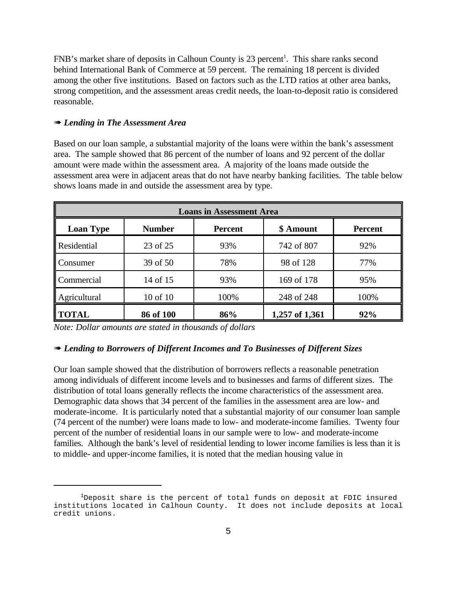FNB's market share of deposits in Calhoun County is 23 percent<sup>1</sup>. This share ranks second behind International Bank of Commerce at 59 percent. The remaining 18 percent is divided among the other five institutions. Based on factors such as the LTD ratios at other area banks, strong competition, and the assessment areas credit needs, the loan-to-deposit ratio is considered reasonable.

#### **<sup><b>\*\*\*\*\*** *Lending in The Assessment Area*</sup>

Based on our loan sample, a substantial majority of the loans were within the bank's assessment area. The sample showed that 86 percent of the number of loans and 92 percent of the dollar amount were made within the assessment area. A majority of the loans made outside the assessment area were in adjacent areas that do not have nearby banking facilities. The table below shows loans made in and outside the assessment area by type.

| <b>Loans in Assessment Area</b> |                                              |      |                |      |  |  |  |  |
|---------------------------------|----------------------------------------------|------|----------------|------|--|--|--|--|
| <b>Loan Type</b>                | <b>Number</b><br>\$ Amount<br><b>Percent</b> |      | <b>Percent</b> |      |  |  |  |  |
| <b>Residential</b>              | 23 of 25                                     | 93%  | 742 of 807     | 92%  |  |  |  |  |
| Consumer                        | 39 of 50                                     | 78%  | 98 of 128      | 77%  |  |  |  |  |
| Commercial                      | 14 of 15                                     | 93%  | 169 of 178     | 95%  |  |  |  |  |
| Agricultural                    | 10 of 10                                     | 100% | 248 of 248     | 100% |  |  |  |  |
| <b>TOTAL</b>                    | 86 of 100                                    | 86%  | 1,257 of 1,361 | 92%  |  |  |  |  |

*Note: Dollar amounts are stated in thousands of dollars*

#### **<sup><b>III</sup>** *Lending to Borrowers of Different Incomes and To Businesses of Different Sizes*</sup>

Our loan sample showed that the distribution of borrowers reflects a reasonable penetration among individuals of different income levels and to businesses and farms of different sizes. The distribution of total loans generally reflects the income characteristics of the assessment area. Demographic data shows that 34 percent of the families in the assessment area are low- and moderate-income. It is particularly noted that a substantial majority of our consumer loan sample (74 percent of the number) were loans made to low- and moderate-income families. Twenty four percent of the number of residential loans in our sample were to low- and moderate-income families. Although the bank's level of residential lending to lower income families is less than it is to middle- and upper-income families, it is noted that the median housing value in

 $1$ Deposit share is the percent of total funds on deposit at FDIC insured institutions located in Calhoun County. It does not include deposits at local credit unions.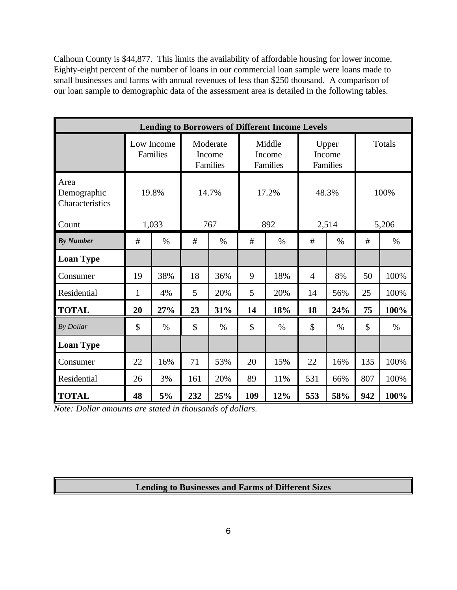Calhoun County is \$44,877. This limits the availability of affordable housing for lower income. Eighty-eight percent of the number of loans in our commercial loan sample were loans made to small businesses and farms with annual revenues of less than \$250 thousand. A comparison of our loan sample to demographic data of the assessment area is detailed in the following tables.

| <b>Lending to Borrowers of Different Income Levels</b> |                        |      |                                |      |                              |      |                             |       |        |       |  |
|--------------------------------------------------------|------------------------|------|--------------------------------|------|------------------------------|------|-----------------------------|-------|--------|-------|--|
|                                                        | Low Income<br>Families |      | Moderate<br>Income<br>Families |      | Middle<br>Income<br>Families |      | Upper<br>Income<br>Families |       | Totals |       |  |
| Area<br>Demographic<br>Characteristics                 | 19.8%                  |      | 14.7%                          |      | 17.2%                        |      | 48.3%                       |       | 100%   |       |  |
| Count                                                  | 1,033                  |      | 767                            |      |                              | 892  |                             | 2,514 |        | 5,206 |  |
| <b>By Number</b>                                       | #                      | $\%$ | #                              | $\%$ | #                            | $\%$ | #                           | $\%$  | #      | $\%$  |  |
| <b>Loan Type</b>                                       |                        |      |                                |      |                              |      |                             |       |        |       |  |
| Consumer                                               | 19                     | 38%  | 18                             | 36%  | 9                            | 18%  | 4                           | 8%    | 50     | 100%  |  |
| Residential                                            | $\mathbf{1}$           | 4%   | 5                              | 20%  | 5                            | 20%  | 14                          | 56%   | 25     | 100%  |  |
| <b>TOTAL</b>                                           | 20                     | 27%  | 23                             | 31%  | 14                           | 18%  | 18                          | 24%   | 75     | 100%  |  |
| By Dollar                                              | \$                     | $\%$ | \$                             | $\%$ | \$                           | $\%$ | \$                          | $\%$  | \$     | $\%$  |  |
| <b>Loan Type</b>                                       |                        |      |                                |      |                              |      |                             |       |        |       |  |
| Consumer                                               | 22                     | 16%  | 71                             | 53%  | 20                           | 15%  | 22                          | 16%   | 135    | 100%  |  |
| Residential                                            | 26                     | 3%   | 161                            | 20%  | 89                           | 11%  | 531                         | 66%   | 807    | 100%  |  |
| <b>TOTAL</b>                                           | 48                     | 5%   | 232                            | 25%  | 109                          | 12%  | 553                         | 58%   | 942    | 100%  |  |

*Note: Dollar amounts are stated in thousands of dollars.*

#### **Lending to Businesses and Farms of Different Sizes**